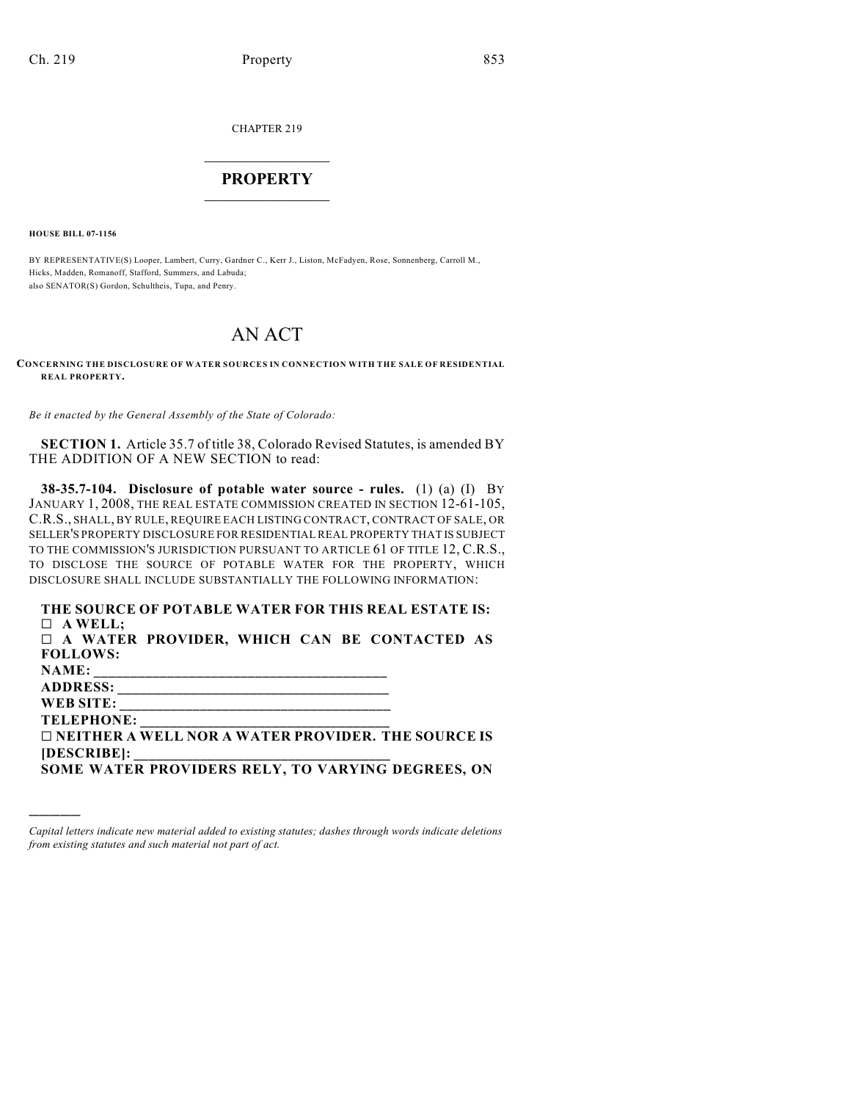CHAPTER 219

## $\overline{\phantom{a}}$  . The set of the set of the set of the set of the set of the set of the set of the set of the set of the set of the set of the set of the set of the set of the set of the set of the set of the set of the set o **PROPERTY**  $\_$   $\_$   $\_$   $\_$   $\_$   $\_$   $\_$   $\_$   $\_$

**HOUSE BILL 07-1156**

)))))

BY REPRESENTATIVE(S) Looper, Lambert, Curry, Gardner C., Kerr J., Liston, McFadyen, Rose, Sonnenberg, Carroll M., Hicks, Madden, Romanoff, Stafford, Summers, and Labuda; also SENATOR(S) Gordon, Schultheis, Tupa, and Penry.

## AN ACT

**CONCERNING THE DISCLOSURE OF WATER SOURCES IN CONNECTION WITH THE SALE OF RESIDENTIAL REAL PROPERTY.**

*Be it enacted by the General Assembly of the State of Colorado:*

**SECTION 1.** Article 35.7 of title 38, Colorado Revised Statutes, is amended BY THE ADDITION OF A NEW SECTION to read:

**38-35.7-104. Disclosure of potable water source - rules.** (1) (a) (I) BY JANUARY 1, 2008, THE REAL ESTATE COMMISSION CREATED IN SECTION 12-61-105, C.R.S., SHALL, BY RULE, REQUIRE EACH LISTING CONTRACT, CONTRACT OF SALE, OR SELLER'S PROPERTY DISCLOSURE FOR RESIDENTIAL REAL PROPERTY THAT IS SUBJECT TO THE COMMISSION'S JURISDICTION PURSUANT TO ARTICLE 61 OF TITLE 12, C.R.S., TO DISCLOSE THE SOURCE OF POTABLE WATER FOR THE PROPERTY, WHICH DISCLOSURE SHALL INCLUDE SUBSTANTIALLY THE FOLLOWING INFORMATION:

| THE SOURCE OF POTABLE WATER FOR THIS REAL ESTATE IS:      |
|-----------------------------------------------------------|
| $\Box$ A WELL:                                            |
| $\Box$ A WATER PROVIDER, WHICH CAN BE CONTACTED AS        |
| <b>FOLLOWS:</b>                                           |
| NAME:                                                     |
|                                                           |
| WEB SITE:                                                 |
| <b>TELEPHONE:</b>                                         |
| $\Box$ NEITHER A WELL NOR A WATER PROVIDER. THE SOURCE IS |
| [DESCRIBE]:                                               |
| SOME WATER PROVIDERS RELY, TO VARYING DEGREES, ON         |

*Capital letters indicate new material added to existing statutes; dashes through words indicate deletions from existing statutes and such material not part of act.*